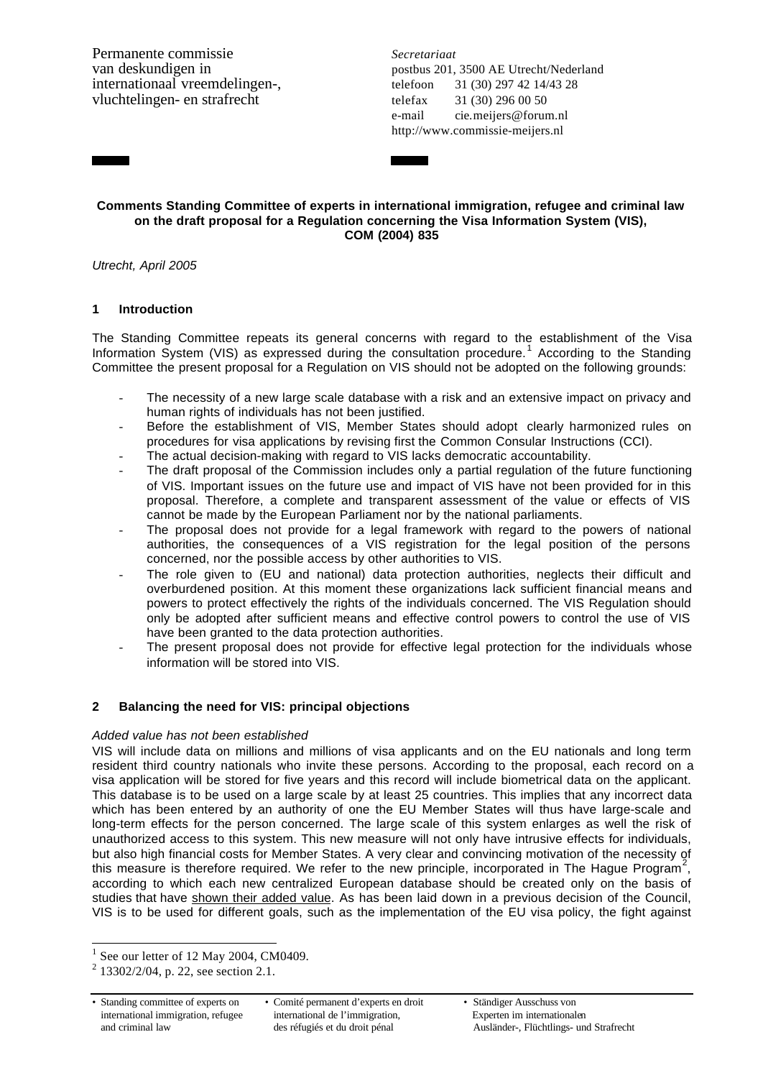Permanente commissie *Secretariaat* internationaal vreemdelingen-, telefoon 31 (30) 297 42 14/43 28 vluchtelingen- en strafrecht telefax 31 (30) 296 00 50

van deskundigen in postbus 201, 3500 AE Utrecht/Nederland e-mail cie.meijers@forum.nl http://www.commissie-meijers.nl

## **Comments Standing Committee of experts in international immigration, refugee and criminal law on the draft proposal for a Regulation concerning the Visa Information System (VIS), COM (2004) 835**

*Utrecht, April 2005*

# **1 Introduction**

The Standing Committee repeats its general concerns with regard to the establishment of the Visa Information System (VIS) as expressed during the consultation procedure.<sup>1</sup> According to the Standing Committee the present proposal for a Regulation on VIS should not be adopted on the following grounds:

- The necessity of a new large scale database with a risk and an extensive impact on privacy and human rights of individuals has not been justified.
- Before the establishment of VIS, Member States should adopt clearly harmonized rules on procedures for visa applications by revising first the Common Consular Instructions (CCI).
- The actual decision-making with regard to VIS lacks democratic accountability.
- The draft proposal of the Commission includes only a partial regulation of the future functioning of VIS. Important issues on the future use and impact of VIS have not been provided for in this proposal. Therefore, a complete and transparent assessment of the value or effects of VIS cannot be made by the European Parliament nor by the national parliaments.
- The proposal does not provide for a legal framework with regard to the powers of national authorities, the consequences of a VIS registration for the legal position of the persons concerned, nor the possible access by other authorities to VIS.
- The role given to (EU and national) data protection authorities, neglects their difficult and overburdened position. At this moment these organizations lack sufficient financial means and powers to protect effectively the rights of the individuals concerned. The VIS Regulation should only be adopted after sufficient means and effective control powers to control the use of VIS have been granted to the data protection authorities.
- The present proposal does not provide for effective legal protection for the individuals whose information will be stored into VIS.

# **2 Balancing the need for VIS: principal objections**

# *Added value has not been established*

VIS will include data on millions and millions of visa applicants and on the EU nationals and long term resident third country nationals who invite these persons. According to the proposal, each record on a visa application will be stored for five years and this record will include biometrical data on the applicant. This database is to be used on a large scale by at least 25 countries. This implies that any incorrect data which has been entered by an authority of one the EU Member States will thus have large-scale and long-term effects for the person concerned. The large scale of this system enlarges as well the risk of unauthorized access to this system. This new measure will not only have intrusive effects for individuals, but also high financial costs for Member States. A very clear and convincing motivation of the necessity of this measure is therefore required. We refer to the new principle, incorporated in The Hague Program<sup>2</sup>, according to which each new centralized European database should be created only on the basis of studies that have shown their added value. As has been laid down in a previous decision of the Council, VIS is to be used for different goals, such as the implementation of the EU visa policy, the fight against

l

<sup>1</sup> See our letter of 12 May 2004, CM0409.

<sup>2</sup> 13302/2/04, p. 22, see section 2.1.

<sup>•</sup> Standing committee of experts on • Comité permanent d'experts en droit • Ständiger Ausschuss von international immigration, refugee international de l'immigration, international immigration, refugee international de l'immigration, <br>and criminal law des réfugiés et du droit pénal Ausländer-, Flüchtlings- un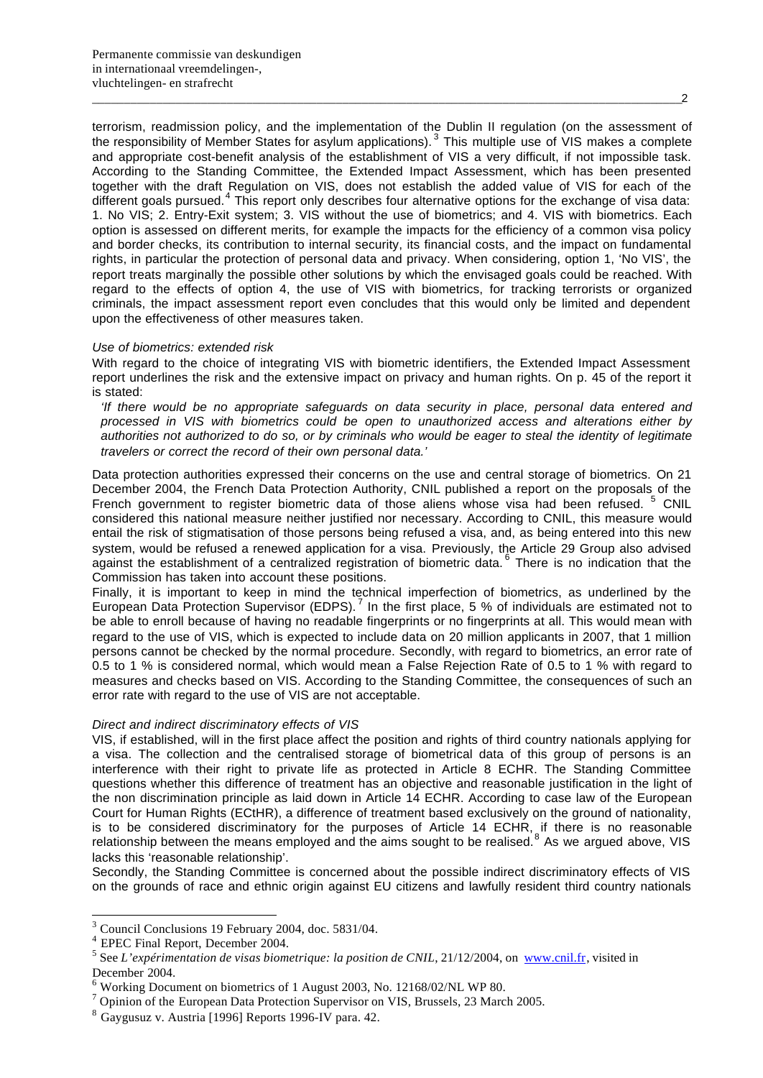terrorism, readmission policy, and the implementation of the Dublin II regulation (on the assessment of the responsibility of Member States for asylum applications). <sup>3</sup> This multiple use of VIS makes a complete and appropriate cost-benefit analysis of the establishment of VIS a very difficult, if not impossible task. According to the Standing Committee, the Extended Impact Assessment, which has been presented together with the draft Regulation on VIS, does not establish the added value of VIS for each of the different goals pursued.<sup>4</sup> This report only describes four alternative options for the exchange of visa data: 1. No VIS; 2. Entry-Exit system; 3. VIS without the use of biometrics; and 4. VIS with biometrics. Each option is assessed on different merits, for example the impacts for the efficiency of a common visa policy and border checks, its contribution to internal security, its financial costs, and the impact on fundamental rights, in particular the protection of personal data and privacy. When considering, option 1, 'No VIS', the report treats marginally the possible other solutions by which the envisaged goals could be reached. With regard to the effects of option 4, the use of VIS with biometrics, for tracking terrorists or organized criminals, the impact assessment report even concludes that this would only be limited and dependent upon the effectiveness of other measures taken.

#### *Use of biometrics: extended risk*

With regard to the choice of integrating VIS with biometric identifiers, the Extended Impact Assessment report underlines the risk and the extensive impact on privacy and human rights. On p. 45 of the report it is stated:

*'If there would be no appropriate safeguards on data security in place, personal data entered and processed in VIS with biometrics could be open to unauthorized access and alterations either by authorities not authorized to do so, or by criminals who would be eager to steal the identity of legitimate travelers or correct the record of their own personal data.'*

Data protection authorities expressed their concerns on the use and central storage of biometrics. On 21 December 2004, the French Data Protection Authority, CNIL published a report on the proposals of the French government to register biometric data of those aliens whose visa had been refused. <sup>5</sup> CNIL considered this national measure neither justified nor necessary. According to CNIL, this measure would entail the risk of stigmatisation of those persons being refused a visa, and, as being entered into this new system, would be refused a renewed application for a visa. Previously, the Article 29 Group also advised against the establishment of a centralized registration of biometric data. <sup>6</sup> There is no indication that the Commission has taken into account these positions.

Finally, it is important to keep in mind the technical imperfection of biometrics, as underlined by the European Data Protection Supervisor (EDPS).<sup>7</sup> In the first place, 5 % of individuals are estimated not to be able to enroll because of having no readable fingerprints or no fingerprints at all. This would mean with regard to the use of VIS, which is expected to include data on 20 million applicants in 2007, that 1 million persons cannot be checked by the normal procedure. Secondly, with regard to biometrics, an error rate of 0.5 to 1 % is considered normal, which would mean a False Rejection Rate of 0.5 to 1 % with regard to measures and checks based on VIS. According to the Standing Committee, the consequences of such an error rate with regard to the use of VIS are not acceptable.

## *Direct and indirect discriminatory effects of VIS*

VIS, if established, will in the first place affect the position and rights of third country nationals applying for a visa. The collection and the centralised storage of biometrical data of this group of persons is an interference with their right to private life as protected in Article 8 ECHR. The Standing Committee questions whether this difference of treatment has an objective and reasonable justification in the light of the non discrimination principle as laid down in Article 14 ECHR. According to case law of the European Court for Human Rights (ECtHR), a difference of treatment based exclusively on the ground of nationality, is to be considered discriminatory for the purposes of Article 14 ECHR, if there is no reasonable relationship between the means employed and the aims sought to be realised.<sup>8</sup> As we argued above, VIS lacks this 'reasonable relationship'.

Secondly, the Standing Committee is concerned about the possible indirect discriminatory effects of VIS on the grounds of race and ethnic origin against EU citizens and lawfully resident third country nationals

l

<sup>&</sup>lt;sup>3</sup> Council Conclusions 19 February 2004, doc. 5831/04.

<sup>4</sup> EPEC Final Report, December 2004.

<sup>&</sup>lt;sup>5</sup> See *L'expérimentation de visas biometrique: la position de CNIL*, 21/12/2004, on www.cnil.fr, visited in December 2004.

<sup>&</sup>lt;sup>6</sup> Working Document on biometrics of 1 August 2003, No. 12168/02/NL WP 80.

 $7$  Opinion of the European Data Protection Supervisor on VIS, Brussels, 23 March 2005.

<sup>8</sup> Gaygusuz v. Austria [1996] Reports 1996-IV para. 42.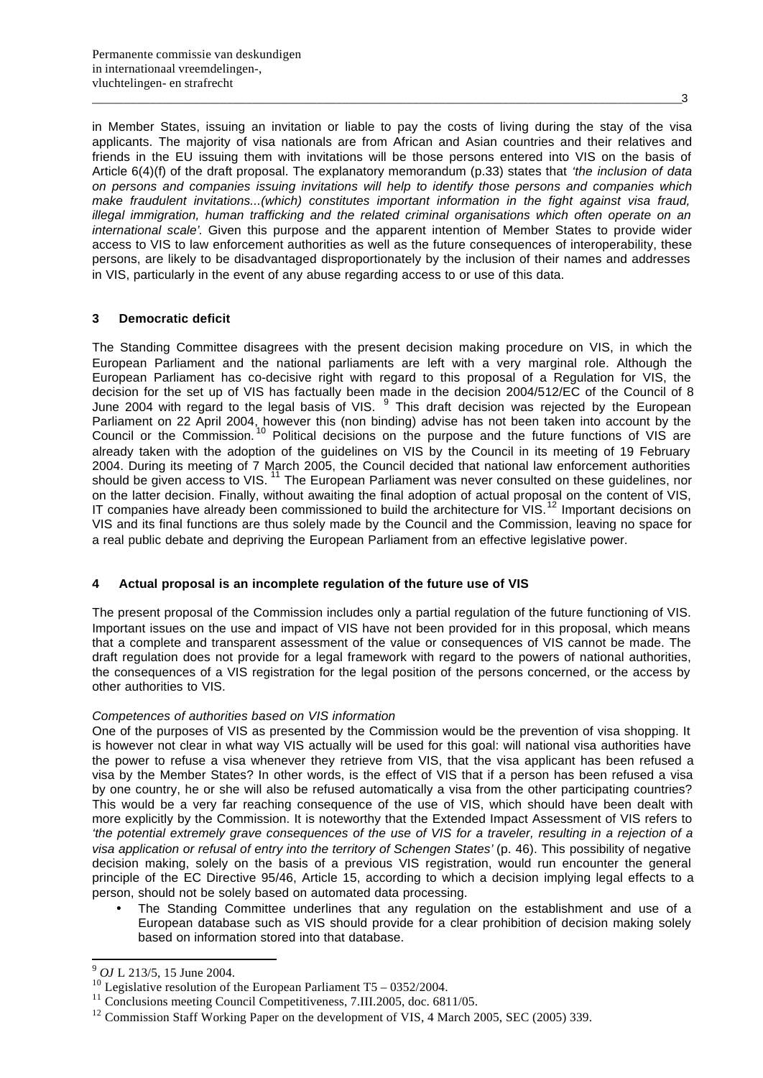in Member States, issuing an invitation or liable to pay the costs of living during the stay of the visa applicants. The majority of visa nationals are from African and Asian countries and their relatives and friends in the EU issuing them with invitations will be those persons entered into VIS on the basis of Article 6(4)(f) of the draft proposal. The explanatory memorandum (p.33) states that *'the inclusion of data on persons and companies issuing invitations will help to identify those persons and companies which make fraudulent invitations...(which) constitutes important information in the fight against visa fraud, illegal immigration, human trafficking and the related criminal organisations which often operate on an international scale'*. Given this purpose and the apparent intention of Member States to provide wider access to VIS to law enforcement authorities as well as the future consequences of interoperability, these persons, are likely to be disadvantaged disproportionately by the inclusion of their names and addresses in VIS, particularly in the event of any abuse regarding access to or use of this data.

## **3 Democratic deficit**

The Standing Committee disagrees with the present decision making procedure on VIS, in which the European Parliament and the national parliaments are left with a very marginal role. Although the European Parliament has co-decisive right with regard to this proposal of a Regulation for VIS, the decision for the set up of VIS has factually been made in the decision 2004/512/EC of the Council of 8 June 2004 with regard to the legal basis of VIS.  $9$  This draft decision was rejected by the European Parliament on 22 April 2004, however this (non binding) advise has not been taken into account by the Council or the Commission. <sup>10</sup> Political decisions on the purpose and the future functions of VIS are already taken with the adoption of the guidelines on VIS by the Council in its meeting of 19 February 2004. During its meeting of 7 March 2005, the Council decided that national law enforcement authorities should be given access to VIS.<sup>11</sup> The European Parliament was never consulted on these guidelines, nor on the latter decision. Finally, without awaiting the final adoption of actual proposal on the content of VIS, IT companies have already been commissioned to build the architecture for VIS.<sup>12</sup> Important decisions on VIS and its final functions are thus solely made by the Council and the Commission, leaving no space for a real public debate and depriving the European Parliament from an effective legislative power.

## **4 Actual proposal is an incomplete regulation of the future use of VIS**

The present proposal of the Commission includes only a partial regulation of the future functioning of VIS. Important issues on the use and impact of VIS have not been provided for in this proposal, which means that a complete and transparent assessment of the value or consequences of VIS cannot be made. The draft regulation does not provide for a legal framework with regard to the powers of national authorities, the consequences of a VIS registration for the legal position of the persons concerned, or the access by other authorities to VIS.

## *Competences of authorities based on VIS information*

One of the purposes of VIS as presented by the Commission would be the prevention of visa shopping. It is however not clear in what way VIS actually will be used for this goal: will national visa authorities have the power to refuse a visa whenever they retrieve from VIS, that the visa applicant has been refused a visa by the Member States? In other words, is the effect of VIS that if a person has been refused a visa by one country, he or she will also be refused automatically a visa from the other participating countries? This would be a very far reaching consequence of the use of VIS, which should have been dealt with more explicitly by the Commission. It is noteworthy that the Extended Impact Assessment of VIS refers to *'the potential extremely grave consequences of the use of VIS for a traveler, resulting in a rejection of a visa application or refusal of entry into the territory of Schengen States'* (p. 46). This possibility of negative decision making, solely on the basis of a previous VIS registration, would run encounter the general principle of the EC Directive 95/46, Article 15, according to which a decision implying legal effects to a person, should not be solely based on automated data processing.

• The Standing Committee underlines that any regulation on the establishment and use of a European database such as VIS should provide for a clear prohibition of decision making solely based on information stored into that database.

 $\overline{a}$ 

<sup>9</sup> *OJ* L 213/5, 15 June 2004.

<sup>&</sup>lt;sup>10</sup> Legislative resolution of the European Parliament T5 – 0352/2004.

<sup>&</sup>lt;sup>11</sup> Conclusions meeting Council Competitiveness, 7.III.2005, doc. 6811/05.

<sup>&</sup>lt;sup>12</sup> Commission Staff Working Paper on the development of VIS, 4 March 2005, SEC (2005) 339.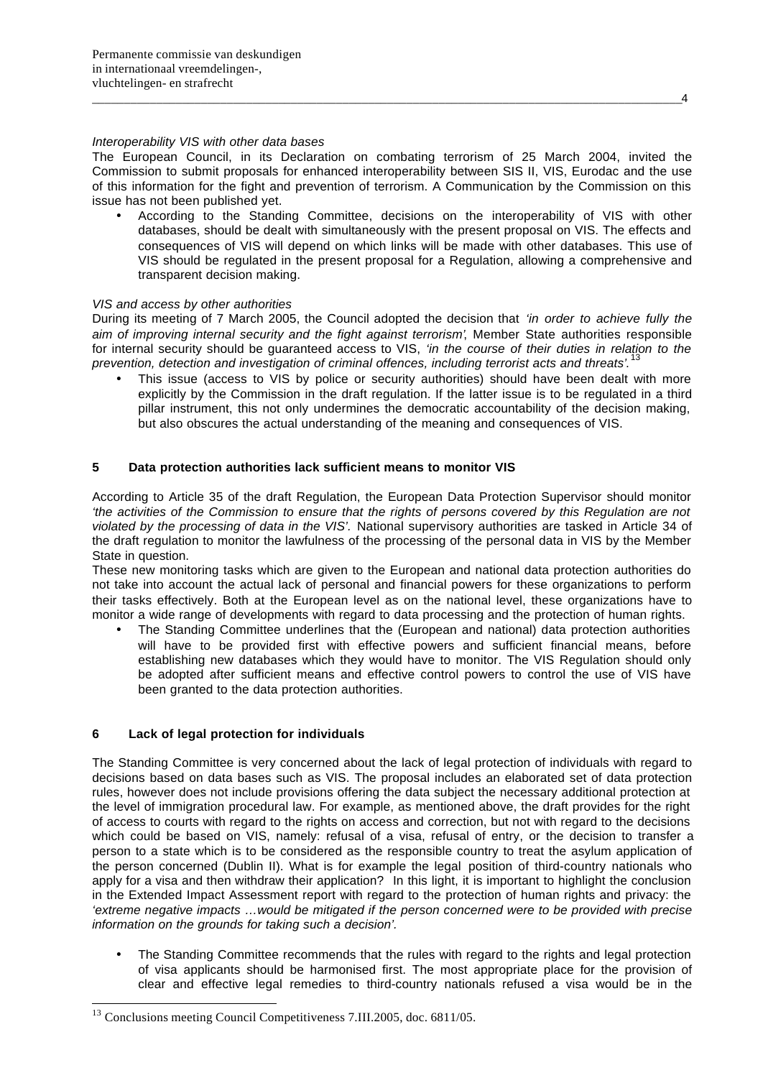### *Interoperability VIS with other data bases*

The European Council, in its Declaration on combating terrorism of 25 March 2004, invited the Commission to submit proposals for enhanced interoperability between SIS II, VIS, Eurodac and the use of this information for the fight and prevention of terrorism. A Communication by the Commission on this issue has not been published yet.

• According to the Standing Committee, decisions on the interoperability of VIS with other databases, should be dealt with simultaneously with the present proposal on VIS. The effects and consequences of VIS will depend on which links will be made with other databases. This use of VIS should be regulated in the present proposal for a Regulation, allowing a comprehensive and transparent decision making.

### *VIS and access by other authorities*

During its meeting of 7 March 2005, the Council adopted the decision that *'in order to achieve fully the aim of improving internal security and the fight against terrorism'*, Member State authorities responsible for internal security should be guaranteed access to VIS, *'in the course of their duties in relation to the prevention, detection and investigation of criminal offences, including terrorist acts and threats'*. 13

This issue (access to VIS by police or security authorities) should have been dealt with more explicitly by the Commission in the draft regulation. If the latter issue is to be regulated in a third pillar instrument, this not only undermines the democratic accountability of the decision making, but also obscures the actual understanding of the meaning and consequences of VIS.

## **5 Data protection authorities lack sufficient means to monitor VIS**

According to Article 35 of the draft Regulation, the European Data Protection Supervisor should monitor *'the activities of the Commission to ensure that the rights of persons covered by this Regulation are not violated by the processing of data in the VIS'.* National supervisory authorities are tasked in Article 34 of the draft regulation to monitor the lawfulness of the processing of the personal data in VIS by the Member State in question.

These new monitoring tasks which are given to the European and national data protection authorities do not take into account the actual lack of personal and financial powers for these organizations to perform their tasks effectively. Both at the European level as on the national level, these organizations have to monitor a wide range of developments with regard to data processing and the protection of human rights.

• The Standing Committee underlines that the (European and national) data protection authorities will have to be provided first with effective powers and sufficient financial means, before establishing new databases which they would have to monitor. The VIS Regulation should only be adopted after sufficient means and effective control powers to control the use of VIS have been granted to the data protection authorities.

## **6 Lack of legal protection for individuals**

l

The Standing Committee is very concerned about the lack of legal protection of individuals with regard to decisions based on data bases such as VIS. The proposal includes an elaborated set of data protection rules, however does not include provisions offering the data subject the necessary additional protection at the level of immigration procedural law. For example, as mentioned above, the draft provides for the right of access to courts with regard to the rights on access and correction, but not with regard to the decisions which could be based on VIS, namely: refusal of a visa, refusal of entry, or the decision to transfer a person to a state which is to be considered as the responsible country to treat the asylum application of the person concerned (Dublin II). What is for example the legal position of third-country nationals who apply for a visa and then withdraw their application? In this light, it is important to highlight the conclusion in the Extended Impact Assessment report with regard to the protection of human rights and privacy: the *'extreme negative impacts …would be mitigated if the person concerned were to be provided with precise information on the grounds for taking such a decision'.*

• The Standing Committee recommends that the rules with regard to the rights and legal protection of visa applicants should be harmonised first. The most appropriate place for the provision of clear and effective legal remedies to third-country nationals refused a visa would be in the

\_\_\_\_\_\_\_\_\_\_\_\_\_\_\_\_\_\_\_\_\_\_\_\_\_\_\_\_\_\_\_\_\_\_\_\_\_\_\_\_\_\_\_\_\_\_\_\_\_\_\_\_\_\_\_\_\_\_\_\_\_\_\_\_\_\_\_\_\_\_\_\_\_\_\_\_\_\_\_\_\_\_\_\_\_\_\_\_\_\_\_\_4

<sup>&</sup>lt;sup>13</sup> Conclusions meeting Council Competitiveness 7.III.2005, doc. 6811/05.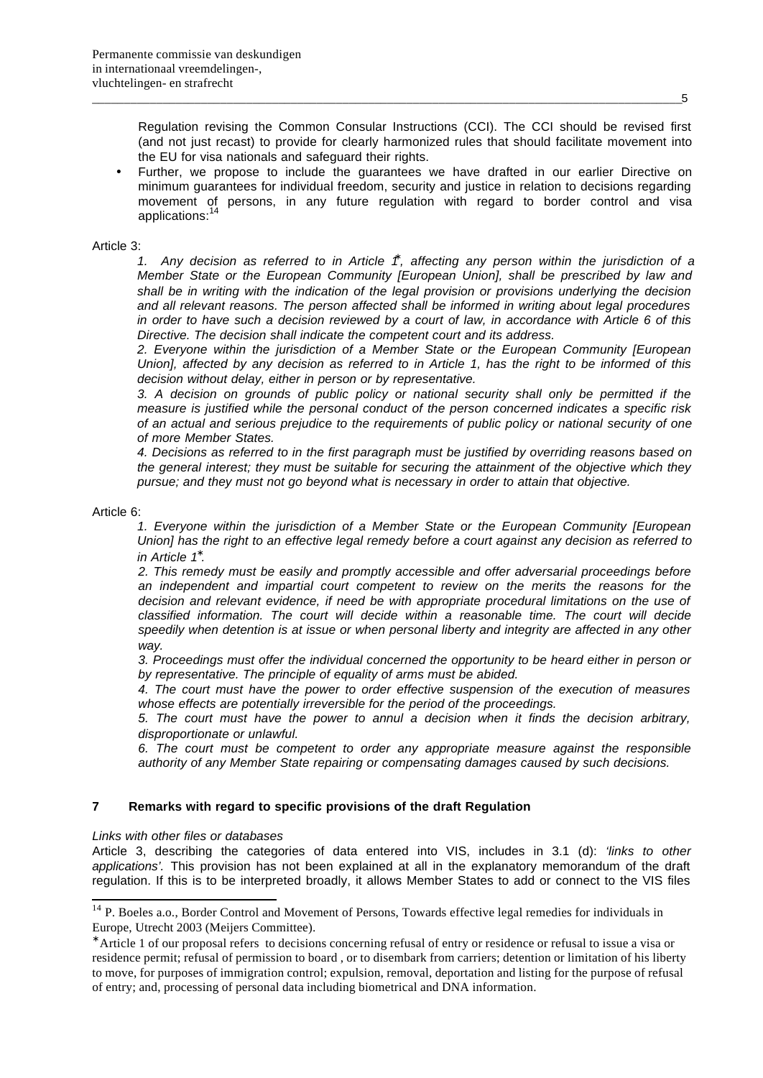Regulation revising the Common Consular Instructions (CCI). The CCI should be revised first (and not just recast) to provide for clearly harmonized rules that should facilitate movement into the EU for visa nationals and safeguard their rights.

• Further, we propose to include the guarantees we have drafted in our earlier Directive on minimum guarantees for individual freedom, security and justice in relation to decisions regarding movement of persons, in any future regulation with regard to border control and visa applications:

Article 3:

*1. Any decision as referred to in Article 1\* , affecting any person within the jurisdiction of a Member State or the European Community [European Union], shall be prescribed by law and shall be in writing with the indication of the legal provision or provisions underlying the decision and all relevant reasons. The person affected shall be informed in writing about legal procedures in order to have such a decision reviewed by a court of law, in accordance with Article 6 of this Directive. The decision shall indicate the competent court and its address.*

*2. Everyone within the jurisdiction of a Member State or the European Community [European Union], affected by any decision as referred to in Article 1, has the right to be informed of this decision without delay, either in person or by representative.*

*3. A decision on grounds of public policy or national security shall only be permitted if the measure is justified while the personal conduct of the person concerned indicates a specific risk of an actual and serious prejudice to the requirements of public policy or national security of one of more Member States.*

*4. Decisions as referred to in the first paragraph must be justified by overriding reasons based on the general interest; they must be suitable for securing the attainment of the objective which they pursue; and they must not go beyond what is necessary in order to attain that objective.*

#### Article 6:

l

*1. Everyone within the jurisdiction of a Member State or the European Community [European Union] has the right to an effective legal remedy before a court against any decision as referred to in Article 1\* .*

*2. This remedy must be easily and promptly accessible and offer adversarial proceedings before an independent and impartial court competent to review on the merits the reasons for the decision and relevant evidence, if need be with appropriate procedural limitations on the use of classified information. The court will decide within a reasonable time. The court will decide speedily when detention is at issue or when personal liberty and integrity are affected in any other way.*

*3. Proceedings must offer the individual concerned the opportunity to be heard either in person or by representative. The principle of equality of arms must be abided.*

*4. The court must have the power to order effective suspension of the execution of measures whose effects are potentially irreversible for the period of the proceedings.*

*5. The court must have the power to annul a decision when it finds the decision arbitrary, disproportionate or unlawful.*

*6. The court must be competent to order any appropriate measure against the responsible authority of any Member State repairing or compensating damages caused by such decisions.*

## **7 Remarks with regard to specific provisions of the draft Regulation**

#### *Links with other files or databases*

Article 3, describing the categories of data entered into VIS, includes in 3.1 (d): *'links to other applications'.* This provision has not been explained at all in the explanatory memorandum of the draft regulation. If this is to be interpreted broadly, it allows Member States to add or connect to the VIS files

\_\_\_\_\_\_\_\_\_\_\_\_\_\_\_\_\_\_\_\_\_\_\_\_\_\_\_\_\_\_\_\_\_\_\_\_\_\_\_\_\_\_\_\_\_\_\_\_\_\_\_\_\_\_\_\_\_\_\_\_\_\_\_\_\_\_\_\_\_\_\_\_\_\_\_\_\_\_\_\_\_\_\_\_\_\_\_\_\_\_\_\_5

 $14$  P. Boeles a.o., Border Control and Movement of Persons, Towards effective legal remedies for individuals in Europe, Utrecht 2003 (Meijers Committee).

<sup>∗</sup> Article 1 of our proposal refers to decisions concerning refusal of entry or residence or refusal to issue a visa or residence permit; refusal of permission to board , or to disembark from carriers; detention or limitation of his liberty to move, for purposes of immigration control; expulsion, removal, deportation and listing for the purpose of refusal of entry; and, processing of personal data including biometrical and DNA information.